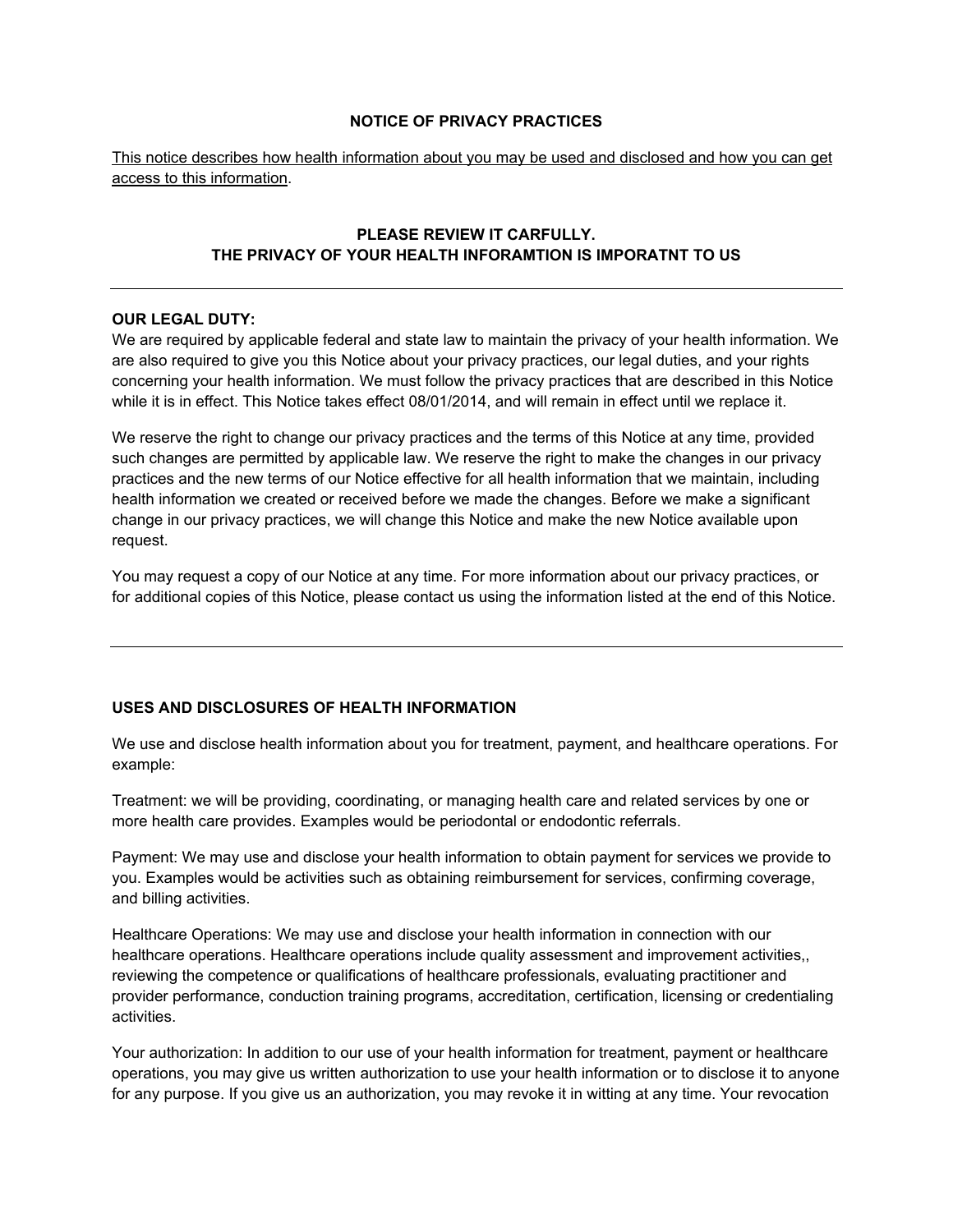#### **NOTICE OF PRIVACY PRACTICES**

This notice describes how health information about you may be used and disclosed and how you can get access to this information.

# **PLEASE REVIEW IT CARFULLY. THE PRIVACY OF YOUR HEALTH INFORAMTION IS IMPORATNT TO US**

### **OUR LEGAL DUTY:**

We are required by applicable federal and state law to maintain the privacy of your health information. We are also required to give you this Notice about your privacy practices, our legal duties, and your rights concerning your health information. We must follow the privacy practices that are described in this Notice while it is in effect. This Notice takes effect 08/01/2014, and will remain in effect until we replace it.

We reserve the right to change our privacy practices and the terms of this Notice at any time, provided such changes are permitted by applicable law. We reserve the right to make the changes in our privacy practices and the new terms of our Notice effective for all health information that we maintain, including health information we created or received before we made the changes. Before we make a significant change in our privacy practices, we will change this Notice and make the new Notice available upon request.

You may request a copy of our Notice at any time. For more information about our privacy practices, or for additional copies of this Notice, please contact us using the information listed at the end of this Notice.

# **USES AND DISCLOSURES OF HEALTH INFORMATION**

We use and disclose health information about you for treatment, payment, and healthcare operations. For example:

Treatment: we will be providing, coordinating, or managing health care and related services by one or more health care provides. Examples would be periodontal or endodontic referrals.

Payment: We may use and disclose your health information to obtain payment for services we provide to you. Examples would be activities such as obtaining reimbursement for services, confirming coverage, and billing activities.

Healthcare Operations: We may use and disclose your health information in connection with our healthcare operations. Healthcare operations include quality assessment and improvement activities,, reviewing the competence or qualifications of healthcare professionals, evaluating practitioner and provider performance, conduction training programs, accreditation, certification, licensing or credentialing activities.

Your authorization: In addition to our use of your health information for treatment, payment or healthcare operations, you may give us written authorization to use your health information or to disclose it to anyone for any purpose. If you give us an authorization, you may revoke it in witting at any time. Your revocation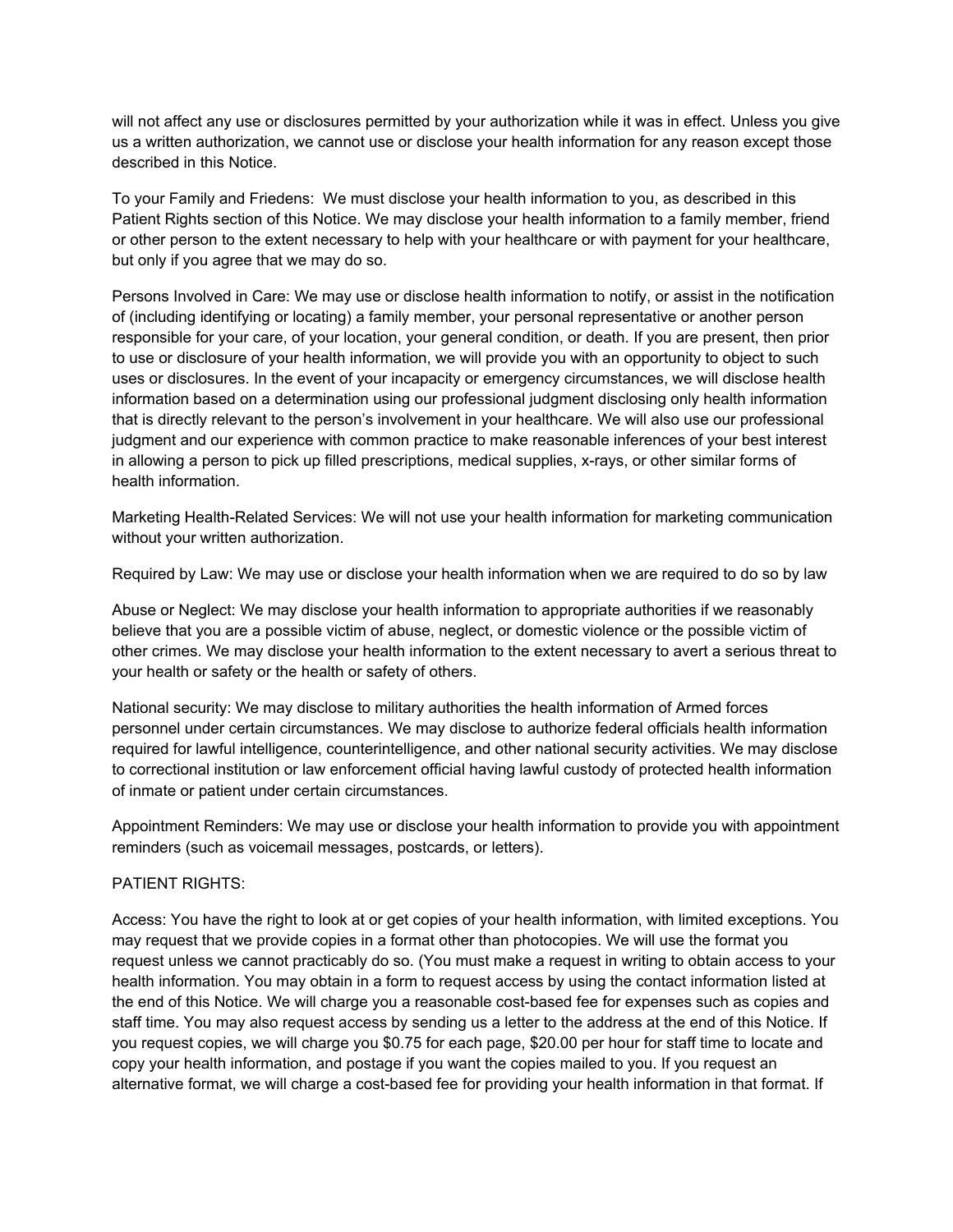will not affect any use or disclosures permitted by your authorization while it was in effect. Unless you give us a written authorization, we cannot use or disclose your health information for any reason except those described in this Notice.

To your Family and Friedens: We must disclose your health information to you, as described in this Patient Rights section of this Notice. We may disclose your health information to a family member, friend or other person to the extent necessary to help with your healthcare or with payment for your healthcare, but only if you agree that we may do so.

Persons Involved in Care: We may use or disclose health information to notify, or assist in the notification of (including identifying or locating) a family member, your personal representative or another person responsible for your care, of your location, your general condition, or death. If you are present, then prior to use or disclosure of your health information, we will provide you with an opportunity to object to such uses or disclosures. In the event of your incapacity or emergency circumstances, we will disclose health information based on a determination using our professional judgment disclosing only health information that is directly relevant to the person's involvement in your healthcare. We will also use our professional judgment and our experience with common practice to make reasonable inferences of your best interest in allowing a person to pick up filled prescriptions, medical supplies, x-rays, or other similar forms of health information.

Marketing Health-Related Services: We will not use your health information for marketing communication without your written authorization.

Required by Law: We may use or disclose your health information when we are required to do so by law

Abuse or Neglect: We may disclose your health information to appropriate authorities if we reasonably believe that you are a possible victim of abuse, neglect, or domestic violence or the possible victim of other crimes. We may disclose your health information to the extent necessary to avert a serious threat to your health or safety or the health or safety of others.

National security: We may disclose to military authorities the health information of Armed forces personnel under certain circumstances. We may disclose to authorize federal officials health information required for lawful intelligence, counterintelligence, and other national security activities. We may disclose to correctional institution or law enforcement official having lawful custody of protected health information of inmate or patient under certain circumstances.

Appointment Reminders: We may use or disclose your health information to provide you with appointment reminders (such as voicemail messages, postcards, or letters).

# PATIENT RIGHTS:

Access: You have the right to look at or get copies of your health information, with limited exceptions. You may request that we provide copies in a format other than photocopies. We will use the format you request unless we cannot practicably do so. (You must make a request in writing to obtain access to your health information. You may obtain in a form to request access by using the contact information listed at the end of this Notice. We will charge you a reasonable cost-based fee for expenses such as copies and staff time. You may also request access by sending us a letter to the address at the end of this Notice. If you request copies, we will charge you \$0.75 for each page, \$20.00 per hour for staff time to locate and copy your health information, and postage if you want the copies mailed to you. If you request an alternative format, we will charge a cost-based fee for providing your health information in that format. If